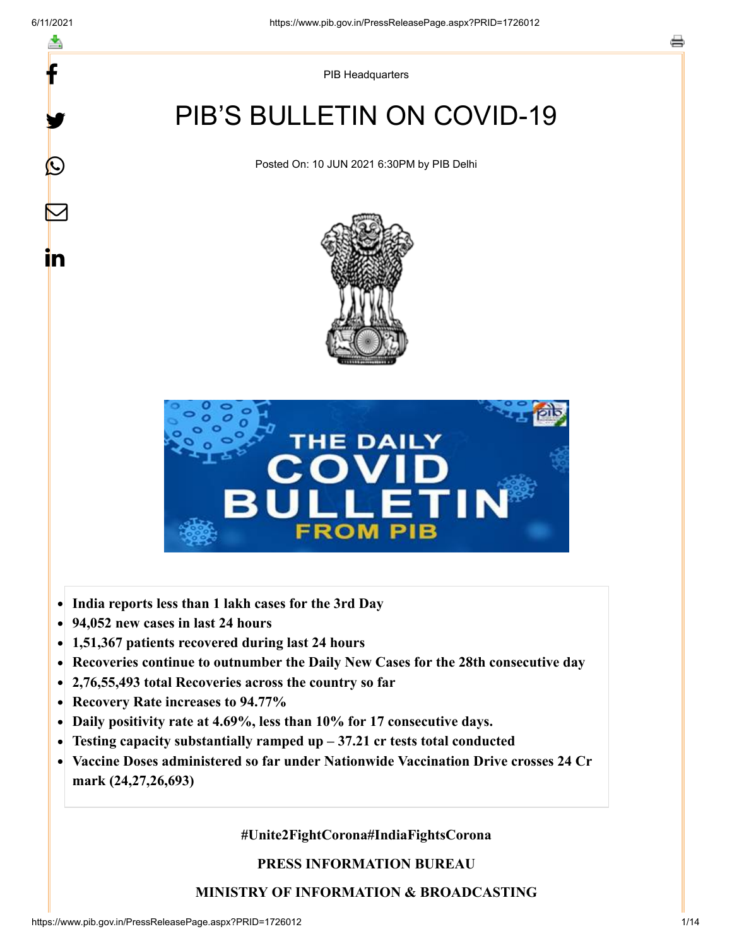y.

 $\bigcirc$ 

 $\bm{\nabla}$ 

in

PIB Headquarters

# PIB'S BULLETIN ON COVID-19

Posted On: 10 JUN 2021 6:30PM by PIB Delhi





- **India reports less than 1 lakh cases for the 3rd Day**
- **94,052 new cases in last 24 hours**  $\bullet$
- **1,51,367 patients recovered during last 24 hours**
- **Recoveries continue to outnumber the Daily New Cases for the 28th consecutive day**
- **2,76,55,493 total Recoveries across the country so far**
- **Recovery Rate increases to 94.77%**
- **Daily positivity rate at 4.69%, less than 10% for 17 consecutive days.**  $\bullet$
- **Testing capacity substantially ramped up 37.21 cr tests total conducted**  $\bullet$
- **Vaccine Doses administered so far under Nationwide Vaccination Drive crosses 24 Cr mark (24,27,26,693)**

**#Unite2FightCorona#IndiaFightsCorona**

**PRESS INFORMATION BUREAU**

#### **MINISTRY OF INFORMATION & BROADCASTING**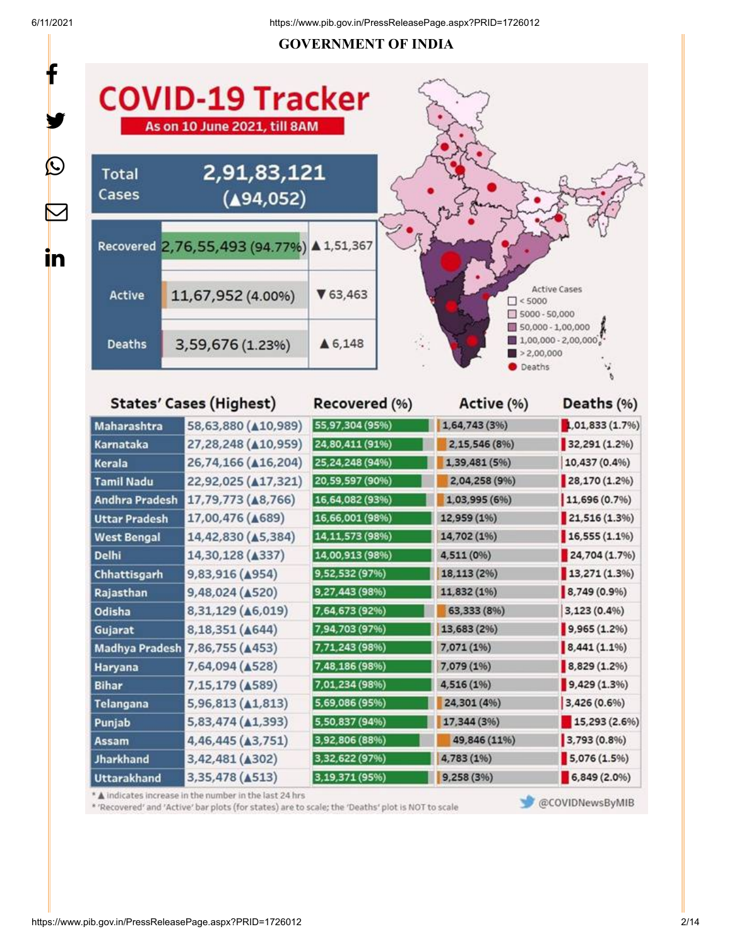#### **GOVERNMENT OF INDIA**



Recovered (%)

Active (%)

Deaths (%)

## **States' Cases (Highest)**

| Maharashtra           | 58,63,880 ( $\triangle$ 10,989)                        | 55,97,304 (95%)   | 1,64,743 (3%) | 1,01,833 (1.7%) |
|-----------------------|--------------------------------------------------------|-------------------|---------------|-----------------|
| Karnataka             | 27,28,248 (410,959)                                    | 24,80,411 (91%)   | 2,15,546 (8%) | 32,291 (1.2%)   |
| Kerala                | 26,74,166 ( $\triangle$ 16,204)                        | 25,24,248 (94%)   | 1,39,481 (5%) | 10,437 (0.4%)   |
| <b>Tamil Nadu</b>     | 22,92,025 ( $\triangle$ 17,321)                        | 20,59,597 (90%)   | 2,04,258 (9%) | 28,170 (1.2%)   |
| <b>Andhra Pradesh</b> | 17,79,773 ( $\triangle$ 8,766)                         | 16,64,082 (93%)   | 1,03,995 (6%) | 11,696 (0.7%)   |
| <b>Uttar Pradesh</b>  | 17,00,476 ( $\triangle$ 689)                           | 16,66,001 (98%)   | 12,959 (1%)   | 21,516 (1.3%)   |
| <b>West Bengal</b>    | 14,42,830 (45,384)                                     | 14, 11, 573 (98%) | 14,702 (1%)   | $16,555(1.1\%)$ |
| <b>Delhi</b>          | 14,30,128 ( $\triangle$ 337)                           | 14,00,913 (98%)   | 4,511 (0%)    | 24,704 (1.7%)   |
| Chhattisgarh          | 9,83,916 (A954)                                        | 9,52,532 (97%)    | 18,113 (2%)   | 13,271(1.3%)    |
| Rajasthan             | 9,48,024 (A520)                                        | 9,27,443 (98%)    | 11,832 (1%)   | 8,749 (0.9%)    |
| Odisha                | 8,31,129 ( $\triangle$ 6,019)                          | 7,64,673 (92%)    | 63,333 (8%)   | 3,123 (0.4%)    |
| Gujarat               | 8,18,351 ( $\triangle$ 644)                            | 7,94,703 (97%)    | 13,683 (2%)   | 9,965(1.2%)     |
| Madhya Pradesh        | 7,86,755 ( $\triangle$ 453)                            | 7,71,243 (98%)    | 7,071 (1%)    | 8,441(1.1%      |
| Haryana               | 7,64,094 ( $\triangle$ 528)                            | 7,48,186 (98%)    | 7,079 (1%)    | 8,829 (1.2%)    |
| Bihar                 | 7,15,179 (4589)                                        | 7,01,234 (98%)    | 4,516 (1%)    | 9,429 (1.3%)    |
| Telangana             | 5,96,813 (41,813)                                      | 5,69,086 (95%)    | 24,301 (4%)   | 3,426 (0.6%)    |
| Punjab                | 5,83,474 ( $\triangle$ 1,393)                          | 5,50,837 (94%)    | 17,344 (3%)   | 15,293 (2.6%)   |
| Assam                 | 4,46,445 ( $\triangle$ 3,751)                          | 3,92,806 (88%)    | 49,846 (11%)  | 3,793 (0.8%)    |
| Jharkhand             | 3,42,481 (A302)                                        | 3,32,622 (97%)    | 4,783 (1%)    | 5,076(1.5%)     |
| <b>Uttarakhand</b>    | 3,35,478 (4513)                                        | 3,19,371 (95%)    | 9,258 (3%)    | $6,849(2.0\%)$  |
|                       | A indicates increase in the number in the last 24 hrs. |                   |               |                 |

\* 'Recovered' and 'Active' bar plots (for states) are to scale; the 'Deaths' plot is NOT to scale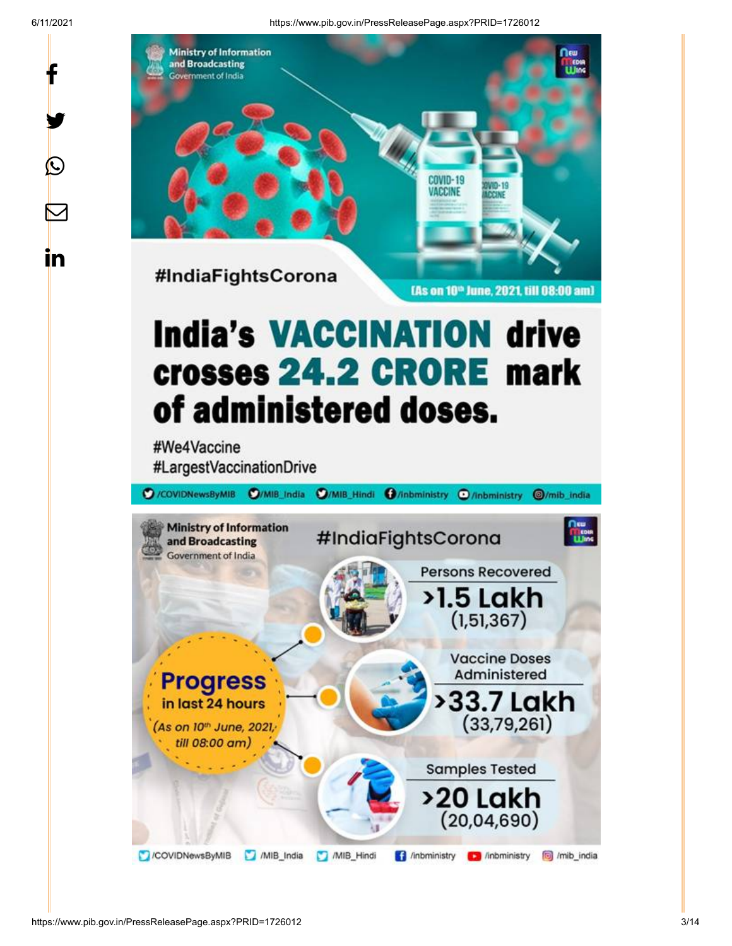y.

 $\bigcirc$ 

 $\boldsymbol{\mathsf{M}}$ 

in

6/11/2021 https://www.pib.gov.in/PressReleasePage.aspx?PRID=1726012



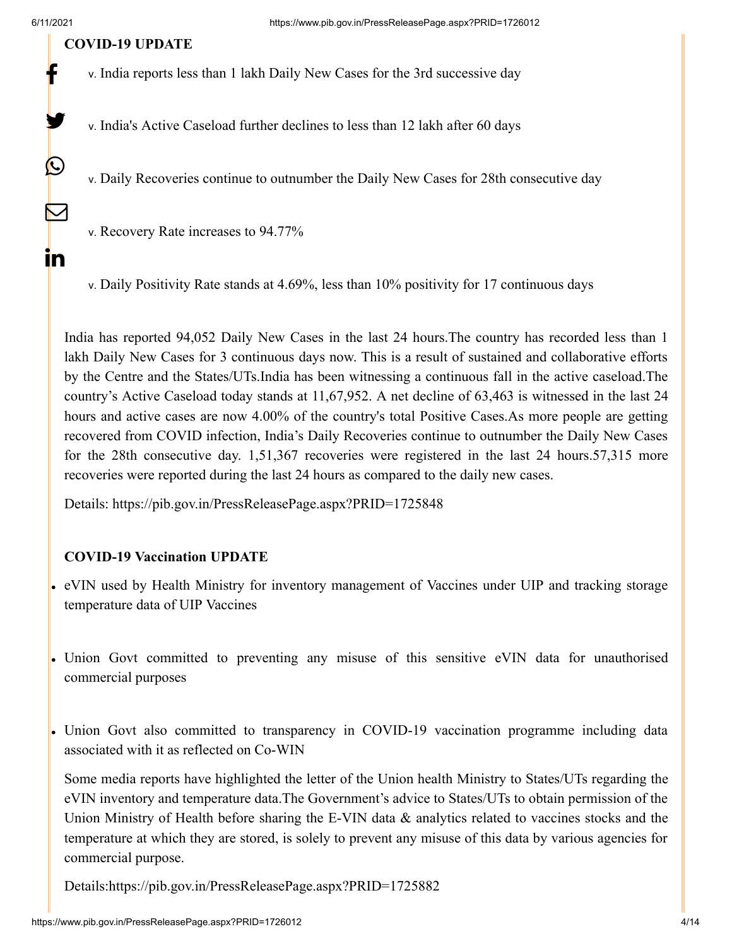y

 $\bigcirc$ 

 $\color{red} \blacktriangleright$ 

in

#### **COVID-19 UPDATE**

- v. India reports less than 1 lakh Daily New Cases for the 3rd successive day
- v. India's Active Caseload further declines to less than 12 lakh after 60 days

v. Daily Recoveries continue to outnumber the Daily New Cases for 28th consecutive day

v. Recovery Rate increases to 94.77%

v. Daily Positivity Rate stands at 4.69%, less than 10% positivity for 17 continuous days

India has reported 94,052 Daily New Cases in the last 24 hours.The country has recorded less than 1 lakh Daily New Cases for 3 continuous days now. This is a result of sustained and collaborative efforts by the Centre and the States/UTs.India has been witnessing a continuous fall in the active caseload.The country's Active Caseload today stands at 11,67,952. A net decline of 63,463 is witnessed in the last 24 hours and active cases are now 4.00% of the country's total Positive Cases.As more people are getting recovered from COVID infection, India's Daily Recoveries continue to outnumber the Daily New Cases for the 28th consecutive day. 1,51,367 recoveries were registered in the last 24 hours.57,315 more recoveries were reported during the last 24 hours as compared to the daily new cases.

Details:<https://pib.gov.in/PressReleasePage.aspx?PRID=1725848>

#### **COVID-19 Vaccination UPDATE**

- eVIN used by Health Ministry for inventory management of Vaccines under UIP and tracking storage temperature data of UIP Vaccines
- Union Govt committed to preventing any misuse of this sensitive eVIN data for unauthorised commercial purposes
- Union Govt also committed to transparency in COVID-19 vaccination programme including data associated with it as reflected on Co-WIN

Some media reports have highlighted the letter of the Union health Ministry to States/UTs regarding the eVIN inventory and temperature data.The Government's advice to States/UTs to obtain permission of the Union Ministry of Health before sharing the E-VIN data & analytics related to vaccines stocks and the temperature at which they are stored, is solely to prevent any misuse of this data by various agencies for commercial purpose.

Details[:https://pib.gov.in/PressReleasePage.aspx?PRID=1725882](https://pib.gov.in/PressReleasePage.aspx?PRID=1725882)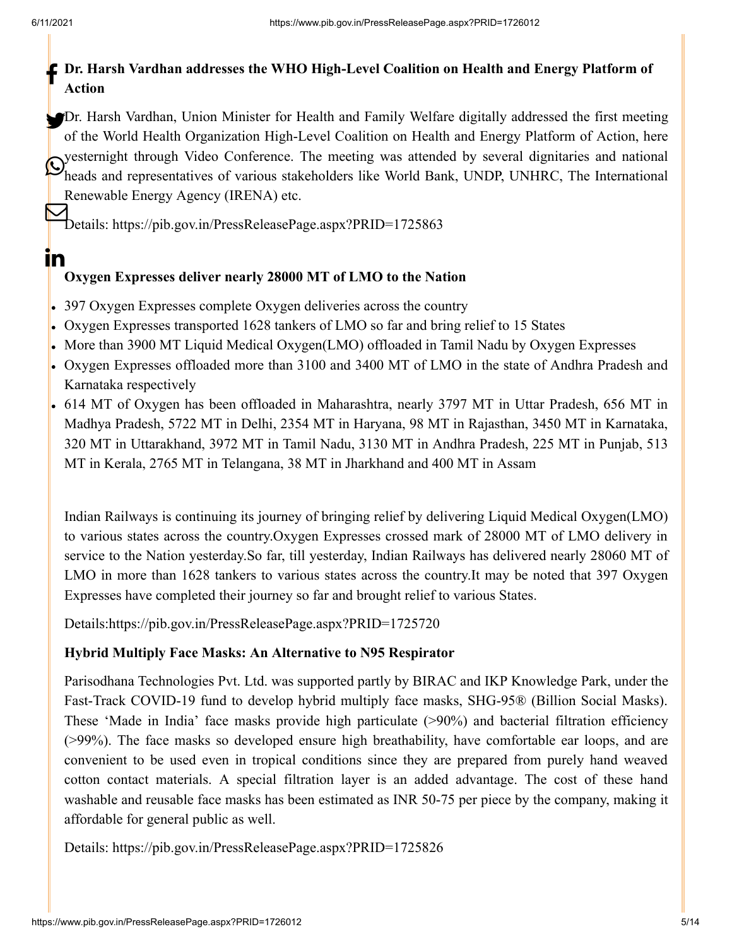<u>in</u>

# **Dr. Harsh Vardhan addresses the WHO High-Level Coalition on Health and Energy Platform of Action**

Dr. Harsh Vardhan, Union Minister for Health and Family Welfare digitally addressed the first meeting of the World Health Organization High-Level Coalition on Health and Energy Platform of Action, here yesternight through Video Conference. The meeting was attended by several dignitaries and national Different and representatives of various stakeholders like World Bank, UNDP, UNHRC, The International heads and representatives of various stakeholders like World Bank, UNDP, UNHRC, The International Renewable Energy Agency (IRENA) etc.

Details:<https://pib.gov.in/PressReleasePage.aspx?PRID=1725863>

## **Oxygen Expresses deliver nearly 28000 MT of LMO to the Nation**

- 397 Oxygen Expresses complete Oxygen deliveries across the country
- Oxygen Expresses transported 1628 tankers of LMO so far and bring relief to 15 States
- More than 3900 MT Liquid Medical Oxygen(LMO) offloaded in Tamil Nadu by Oxygen Expresses
- Oxygen Expresses offloaded more than 3100 and 3400 MT of LMO in the state of Andhra Pradesh and Karnataka respectively
- 614 MT of Oxygen has been offloaded in Maharashtra, nearly 3797 MT in Uttar Pradesh, 656 MT in Madhya Pradesh, 5722 MT in Delhi, 2354 MT in Haryana, 98 MT in Rajasthan, 3450 MT in Karnataka, 320 MT in Uttarakhand, 3972 MT in Tamil Nadu, 3130 MT in Andhra Pradesh, 225 MT in Punjab, 513 MT in Kerala, 2765 MT in Telangana, 38 MT in Jharkhand and 400 MT in Assam

Indian Railways is continuing its journey of bringing relief by delivering Liquid Medical Oxygen(LMO) to various states across the country.Oxygen Expresses crossed mark of 28000 MT of LMO delivery in service to the Nation yesterday.So far, till yesterday, Indian Railways has delivered nearly 28060 MT of LMO in more than 1628 tankers to various states across the country.It may be noted that 397 Oxygen Expresses have completed their journey so far and brought relief to various States.

Details[:https://pib.gov.in/PressReleasePage.aspx?PRID=1725720](https://pib.gov.in/PressReleasePage.aspx?PRID=1725720)

### **Hybrid Multiply Face Masks: An Alternative to N95 Respirator**

Parisodhana Technologies Pvt. Ltd. was supported partly by BIRAC and IKP Knowledge Park, under the Fast-Track COVID-19 fund to develop hybrid multiply face masks, SHG-95® (Billion Social Masks). These 'Made in India' face masks provide high particulate (>90%) and bacterial filtration efficiency (>99%). The face masks so developed ensure high breathability, have comfortable ear loops, and are convenient to be used even in tropical conditions since they are prepared from purely hand weaved cotton contact materials. A special filtration layer is an added advantage. The cost of these hand washable and reusable face masks has been estimated as INR 50-75 per piece by the company, making it affordable for general public as well.

Details:<https://pib.gov.in/PressReleasePage.aspx?PRID=1725826>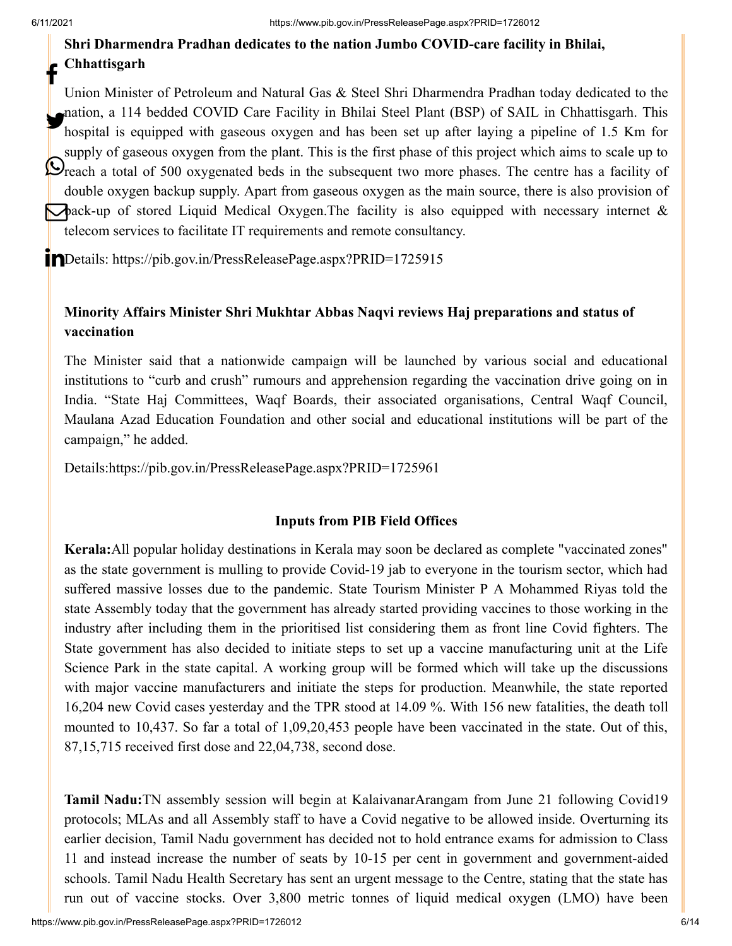# **Shri Dharmendra Pradhan dedicates to the nation Jumbo COVID-care facility in Bhilai, Chhattisgarh**

Union Minister of Petroleum and Natural Gas & Steel Shri Dharmendra Pradhan today dedicated to the nation, a 114 bedded COVID Care Facility in Bhilai Steel Plant (BSP) of SAIL in Chhattisgarh. This<br>homital is covined with gasoove owners and has been set up often laving a nineline of 1.5 Km for hospital is equipped with gaseous oxygen and has been set up after laying a pipeline of 1.5 Km for supply of gaseous oxygen from the plant. This is the first phase of this project which aims to scale up to **Ordeptry of gaseous only generated beds** in the subsequent two more phases. The centre has a facility of double oxygen backup supply. Apart from gaseous oxygen as the main source, there is also provision of **back-up** of stored Liquid Medical Oxygen.The facility is also equipped with necessary internet & telecom services to facilitate IT requirements and remote consultancy. f

Details:<https://pib.gov.in/PressReleasePage.aspx?PRID=1725915>

## **Minority Affairs Minister Shri Mukhtar Abbas Naqvi reviews Haj preparations and status of vaccination**

The Minister said that a nationwide campaign will be launched by various social and educational institutions to "curb and crush" rumours and apprehension regarding the vaccination drive going on in India. "State Haj Committees, Waqf Boards, their associated organisations, Central Waqf Council, Maulana Azad Education Foundation and other social and educational institutions will be part of the campaign," he added.

Details[:https://pib.gov.in/PressReleasePage.aspx?PRID=1725961](https://pib.gov.in/PressReleasePage.aspx?PRID=1725961)

#### **Inputs from PIB Field Offices**

**Kerala:**All popular holiday destinations in Kerala may soon be declared as complete "vaccinated zones" as the state government is mulling to provide Covid-19 jab to everyone in the tourism sector, which had suffered massive losses due to the pandemic. State Tourism Minister P A Mohammed Riyas told the state Assembly today that the government has already started providing vaccines to those working in the industry after including them in the prioritised list considering them as front line Covid fighters. The State government has also decided to initiate steps to set up a vaccine manufacturing unit at the Life Science Park in the state capital. A working group will be formed which will take up the discussions with major vaccine manufacturers and initiate the steps for production. Meanwhile, the state reported 16,204 new Covid cases yesterday and the TPR stood at 14.09 %. With 156 new fatalities, the death toll mounted to 10,437. So far a total of 1,09,20,453 people have been vaccinated in the state. Out of this, 87,15,715 received first dose and 22,04,738, second dose.

**Tamil Nadu:**TN assembly session will begin at KalaivanarArangam from June 21 following Covid19 protocols; MLAs and all Assembly staff to have a Covid negative to be allowed inside. Overturning its earlier decision, Tamil Nadu government has decided not to hold entrance exams for admission to Class 11 and instead increase the number of seats by 10-15 per cent in government and government-aided schools. Tamil Nadu Health Secretary has sent an urgent message to the Centre, stating that the state has run out of vaccine stocks. Over 3,800 metric tonnes of liquid medical oxygen (LMO) have been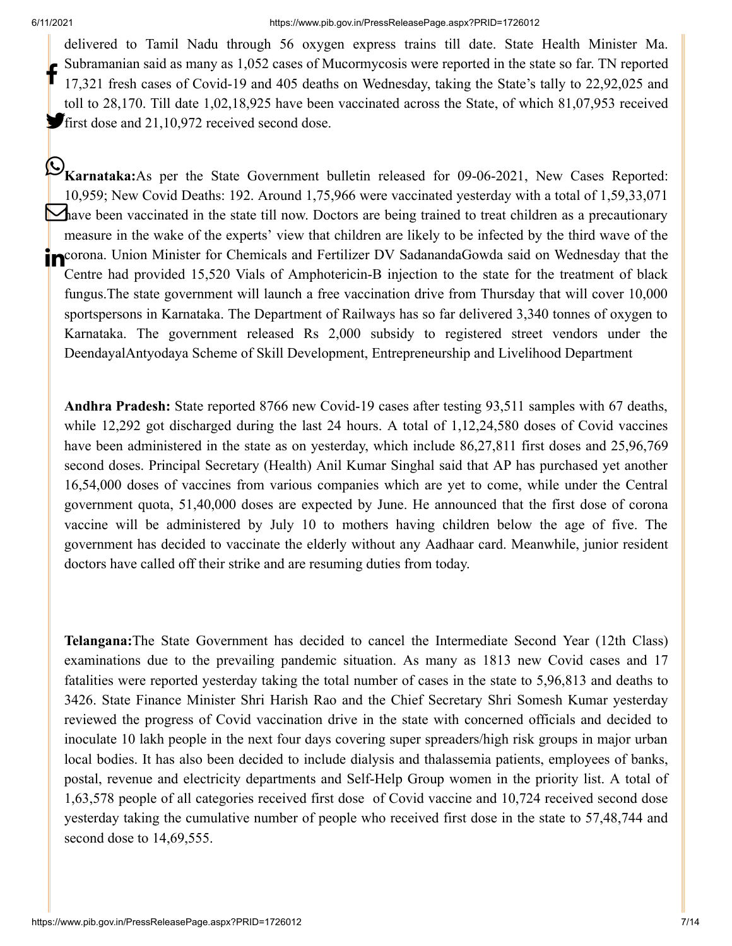delivered to Tamil Nadu through 56 oxygen express trains till date. State Health Minister Ma. Subramanian said as many as 1,052 cases of Mucormycosis were reported in the state so far. TN reported 17,321 fresh cases of Covid-19 and 405 deaths on Wednesday, taking the State's tally to 22,92,025 and toll to 28,170. Till date 1,02,18,925 have been vaccinated across the State, of which 81,07,953 received first dose and 21,10,972 received second dose. f

**Karnataka:**As per the State Government bulletin released for 09-06-2021, New Cases Reported: 10,959; New Covid Deaths: 192. Around 1,75,966 were vaccinated yesterday with a total of 1,59,33,071 **h**ave been vaccinated in the state till now. Doctors are being trained to treat children as a precautionary measure in the wake of the experts' view that children are likely to be infected by the third wave of the **in** Corona. Union Minister for Chemicals and Fertilizer DV SadanandaGowda said on Wednesday that the Centre had provided 15,520 Vials of Amphotericin-B injection to the state for the treatment of black fungus.The state government will launch a free vaccination drive from Thursday that will cover 10,000 sportspersons in Karnataka. The Department of Railways has so far delivered 3,340 tonnes of oxygen to Karnataka. The government released Rs 2,000 subsidy to registered street vendors under the DeendayalAntyodaya Scheme of Skill Development, Entrepreneurship and Livelihood Department

**Andhra Pradesh:** State reported 8766 new Covid-19 cases after testing 93,511 samples with 67 deaths, while 12,292 got discharged during the last 24 hours. A total of 1,12,24,580 doses of Covid vaccines have been administered in the state as on yesterday, which include 86,27,811 first doses and 25,96,769 second doses. Principal Secretary (Health) Anil Kumar Singhal said that AP has purchased yet another 16,54,000 doses of vaccines from various companies which are yet to come, while under the Central government quota, 51,40,000 doses are expected by June. He announced that the first dose of corona vaccine will be administered by July 10 to mothers having children below the age of five. The government has decided to vaccinate the elderly without any Aadhaar card. Meanwhile, junior resident doctors have called off their strike and are resuming duties from today.

**Telangana:**The State Government has decided to cancel the Intermediate Second Year (12th Class) examinations due to the prevailing pandemic situation. As many as 1813 new Covid cases and 17 fatalities were reported yesterday taking the total number of cases in the state to 5,96,813 and deaths to 3426. State Finance Minister Shri Harish Rao and the Chief Secretary Shri Somesh Kumar yesterday reviewed the progress of Covid vaccination drive in the state with concerned officials and decided to inoculate 10 lakh people in the next four days covering super spreaders/high risk groups in major urban local bodies. It has also been decided to include dialysis and thalassemia patients, employees of banks, postal, revenue and electricity departments and Self-Help Group women in the priority list. A total of 1,63,578 people of all categories received first dose of Covid vaccine and 10,724 received second dose yesterday taking the cumulative number of people who received first dose in the state to 57,48,744 and second dose to 14,69,555.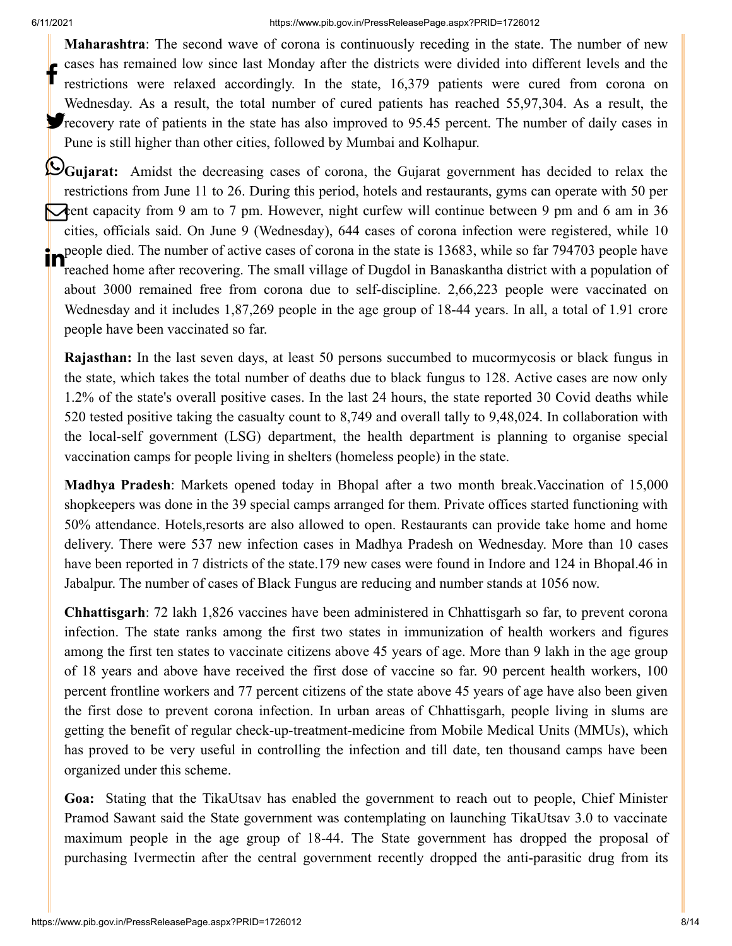**Maharashtra**: The second wave of corona is continuously receding in the state. The number of new cases has remained low since last Monday after the districts were divided into different levels and the restrictions were relaxed accordingly. In the state, 16,379 patients were cured from corona on Wednesday. As a result, the total number of cured patients has reached 55,97,304. As a result, the **P**recovery rate of patients in the state has also improved to 95.45 percent. The number of daily cases in Pune is still higher than other cities, followed by Mumbai and Kolhapur. f

**Cujarat:** Amidst the decreasing cases of corona, the Gujarat government has decided to relax the restrictions from June 11 to 26. During this period, hotels and restaurants, gyms can operate with 50 per cent capacity from 9 am to 7 pm. However, night curfew will continue between 9 pm and 6 am in 36 cities, officials said. On June 9 (Wednesday), 644 cases of corona infection were registered, while 10 people died. The number of active cases of corona in the state is 13683, while so far 794703 people have reached home after recovering. The small village of Dugdol in Banaskantha district with a population of about 3000 remained free from corona due to self-discipline. 2,66,223 people were vaccinated on Wednesday and it includes 1,87,269 people in the age group of 18-44 years. In all, a total of 1.91 crore people have been vaccinated so far.

**Rajasthan:** In the last seven days, at least 50 persons succumbed to mucormycosis or black fungus in the state, which takes the total number of deaths due to black fungus to 128. Active cases are now only 1.2% of the state's overall positive cases. In the last 24 hours, the state reported 30 Covid deaths while 520 tested positive taking the casualty count to 8,749 and overall tally to 9,48,024. In collaboration with the local-self government (LSG) department, the health department is planning to organise special vaccination camps for people living in shelters (homeless people) in the state.

**Madhya Pradesh**: Markets opened today in Bhopal after a two month break.Vaccination of 15,000 shopkeepers was done in the 39 special camps arranged for them. Private offices started functioning with 50% attendance. Hotels,resorts are also allowed to open. Restaurants can provide take home and home delivery. There were 537 new infection cases in Madhya Pradesh on Wednesday. More than 10 cases have been reported in 7 districts of the state.179 new cases were found in Indore and 124 in Bhopal.46 in Jabalpur. The number of cases of Black Fungus are reducing and number stands at 1056 now.

**Chhattisgarh**: 72 lakh 1,826 vaccines have been administered in Chhattisgarh so far, to prevent corona infection. The state ranks among the first two states in immunization of health workers and figures among the first ten states to vaccinate citizens above 45 years of age. More than 9 lakh in the age group of 18 years and above have received the first dose of vaccine so far. 90 percent health workers, 100 percent frontline workers and 77 percent citizens of the state above 45 years of age have also been given the first dose to prevent corona infection. In urban areas of Chhattisgarh, people living in slums are getting the benefit of regular check-up-treatment-medicine from Mobile Medical Units (MMUs), which has proved to be very useful in controlling the infection and till date, ten thousand camps have been organized under this scheme.

**Goa:** Stating that the TikaUtsav has enabled the government to reach out to people, Chief Minister Pramod Sawant said the State government was contemplating on launching TikaUtsav 3.0 to vaccinate maximum people in the age group of 18-44. The State government has dropped the proposal of purchasing Ivermectin after the central government recently dropped the anti-parasitic drug from its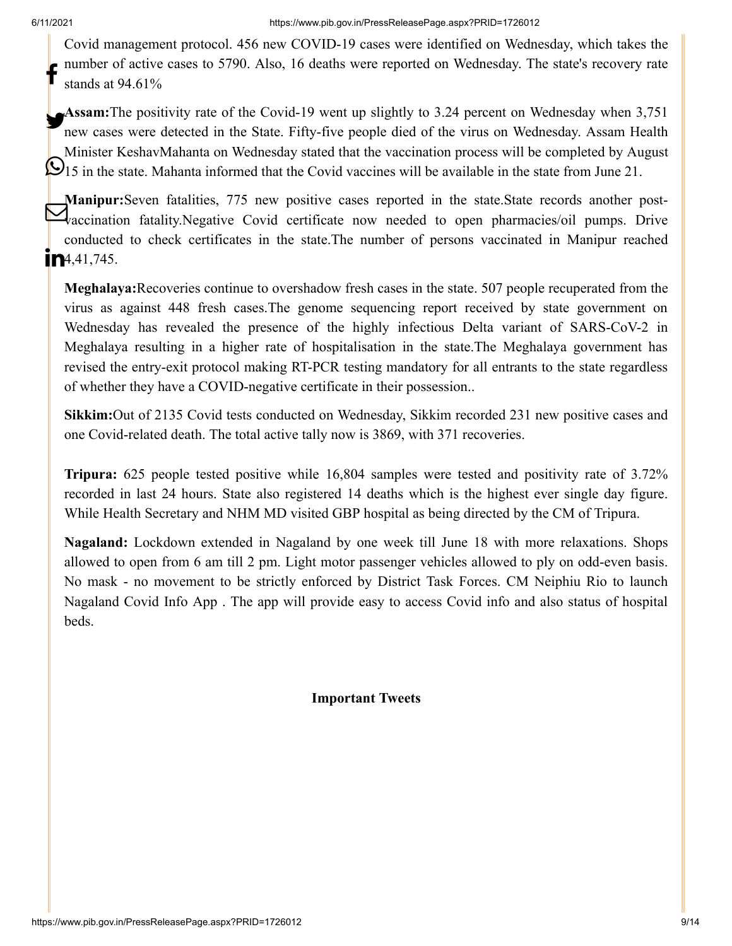Covid management protocol. 456 new COVID-19 cases were identified on Wednesday, which takes the number of active cases to 5790. Also, 16 deaths were reported on Wednesday. The state's recovery rate stands at 94.61% f

**Assam:**The positivity rate of the Covid-19 went up slightly to 3.24 percent on Wednesday when 3,751 new cases were detected in the State. Fifty-five people died of the virus on Wednesday. Assam Health Minister KeshavMahanta on Wednesday stated that the vaccination process will be completed by August 15 in the state. Mahanta informed that the Covid vaccines will be available in the state from June 21.

**Manipur:**Seven fatalities, 775 new positive cases reported in the state.State records another post-Valupur.Seven fatalities, 775 hew positive cases reported in the state state records another post-<br>Vaccination fatality.Negative Covid certificate now needed to open pharmacies/oil pumps. Drive conducted to check certificates in the state.The number of persons vaccinated in Manipur reached  $\mathbf{m}$ 4,41,745.

**Meghalaya:**Recoveries continue to overshadow fresh cases in the state. 507 people recuperated from the virus as against 448 fresh cases.The genome sequencing report received by state government on Wednesday has revealed the presence of the highly infectious Delta variant of SARS-CoV-2 in Meghalaya resulting in a higher rate of hospitalisation in the state.The Meghalaya government has revised the entry-exit protocol making RT-PCR testing mandatory for all entrants to the state regardless of whether they have a COVID-negative certificate in their possession..

**Sikkim:**Out of 2135 Covid tests conducted on Wednesday, Sikkim recorded 231 new positive cases and one Covid-related death. The total active tally now is 3869, with 371 recoveries.

**Tripura:** 625 people tested positive while 16,804 samples were tested and positivity rate of 3.72% recorded in last 24 hours. State also registered 14 deaths which is the highest ever single day figure. While Health Secretary and NHM MD visited GBP hospital as being directed by the CM of Tripura.

**Nagaland:** Lockdown extended in Nagaland by one week till June 18 with more relaxations. Shops allowed to open from 6 am till 2 pm. Light motor passenger vehicles allowed to ply on odd-even basis. No mask - no movement to be strictly enforced by District Task Forces. CM Neiphiu Rio to launch Nagaland Covid Info App . The app will provide easy to access Covid info and also status of hospital beds.

**Important Tweets**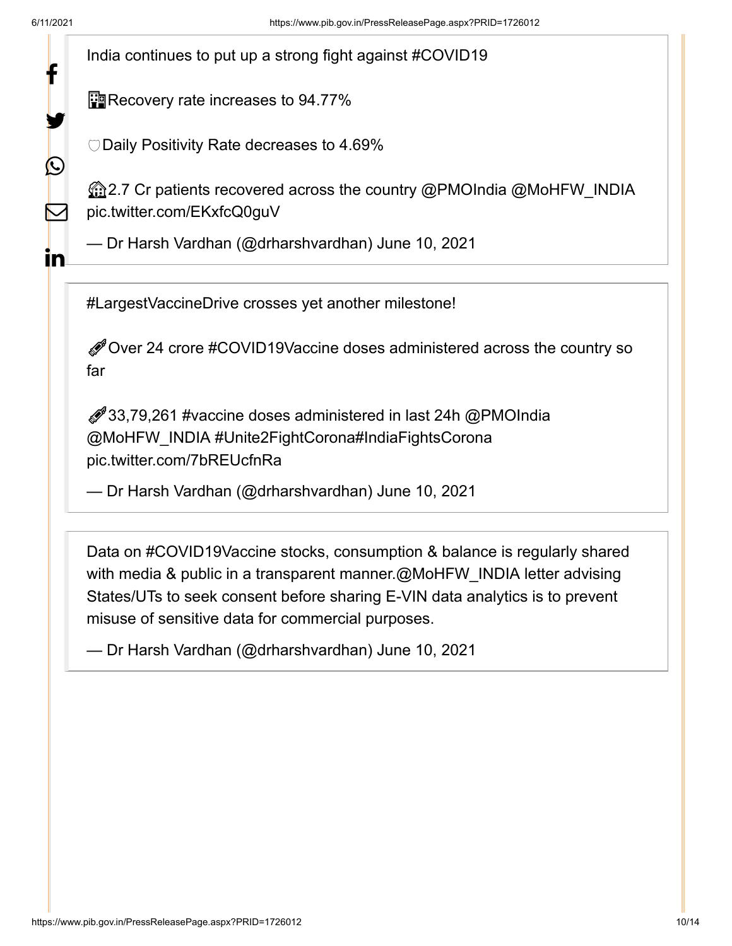У.

 $\bigcirc$ 

 $\sum$ 

In

India continues to put up a strong fight against [#COVID19](https://twitter.com/hashtag/COVID19?src=hash&ref_src=twsrc%5Etfw)

**Pro** Recovery rate increases to 94.77%

Daily Positivity Rate decreases to 4.69%

2.7 Cr patients recovered across the country [@PMOIndia](https://twitter.com/PMOIndia?ref_src=twsrc%5Etfw) [@MoHFW\\_INDIA](https://twitter.com/MoHFW_INDIA?ref_src=twsrc%5Etfw) [pic.twitter.com/EKxfcQ0guV](https://t.co/EKxfcQ0guV)

— Dr Harsh Vardhan (@drharshvardhan) [June 10, 2021](https://twitter.com/drharshvardhan/status/1402877684036734977?ref_src=twsrc%5Etfw)

[#LargestVaccineDrive](https://twitter.com/hashtag/LargestVaccineDrive?src=hash&ref_src=twsrc%5Etfw) crosses yet another milestone!

Over 24 crore [#COVID19Vaccine](https://twitter.com/hashtag/COVID19Vaccine?src=hash&ref_src=twsrc%5Etfw) doses administered across the country so far

33,79,261 [#vaccine](https://twitter.com/hashtag/vaccine?src=hash&ref_src=twsrc%5Etfw) doses administered in last 24h [@PMOIndia](https://twitter.com/PMOIndia?ref_src=twsrc%5Etfw) [@MoHFW\\_INDIA](https://twitter.com/MoHFW_INDIA?ref_src=twsrc%5Etfw) [#Unite2FightCorona](https://twitter.com/hashtag/Unite2FightCorona?src=hash&ref_src=twsrc%5Etfw)[#IndiaFightsCorona](https://twitter.com/hashtag/IndiaFightsCorona?src=hash&ref_src=twsrc%5Etfw) [pic.twitter.com/7bREUcfnRa](https://t.co/7bREUcfnRa)

— Dr Harsh Vardhan (@drharshvardhan) [June 10, 2021](https://twitter.com/drharshvardhan/status/1402877237632765952?ref_src=twsrc%5Etfw)

Data on [#COVID19Vaccine](https://twitter.com/hashtag/COVID19Vaccine?src=hash&ref_src=twsrc%5Etfw) stocks, consumption & balance is regularly shared with media & public in a transparent manner[.@MoHFW\\_INDIA](https://twitter.com/MoHFW_INDIA?ref_src=twsrc%5Etfw) letter advising States/UTs to seek consent before sharing E-VIN data analytics is to prevent misuse of sensitive data for commercial purposes.

— Dr Harsh Vardhan (@drharshvardhan) [June 10, 2021](https://twitter.com/drharshvardhan/status/1402909065462702086?ref_src=twsrc%5Etfw)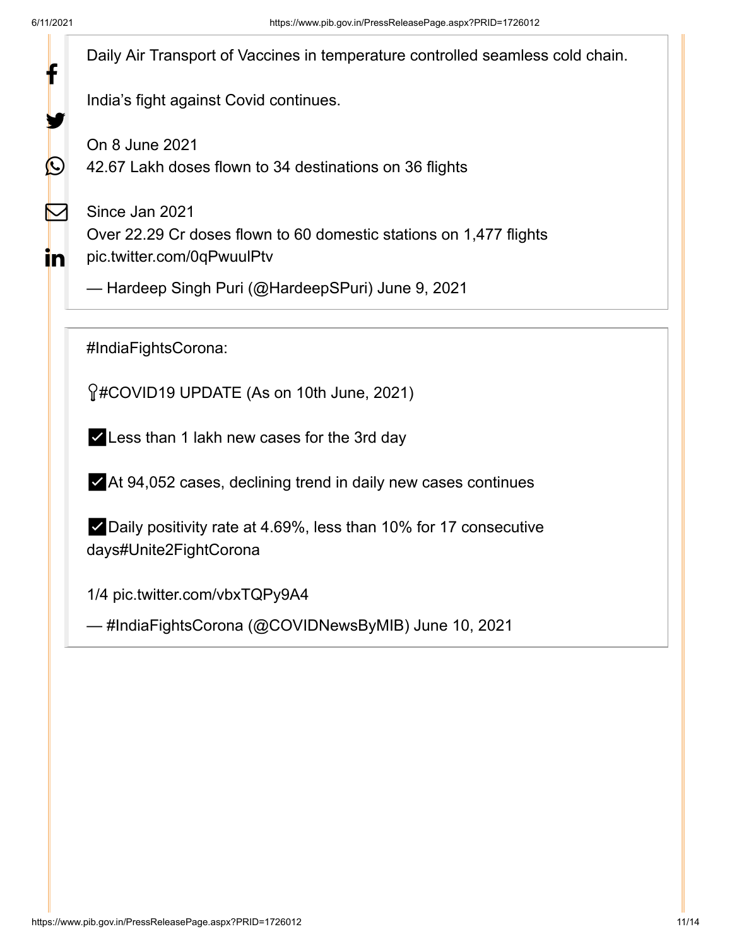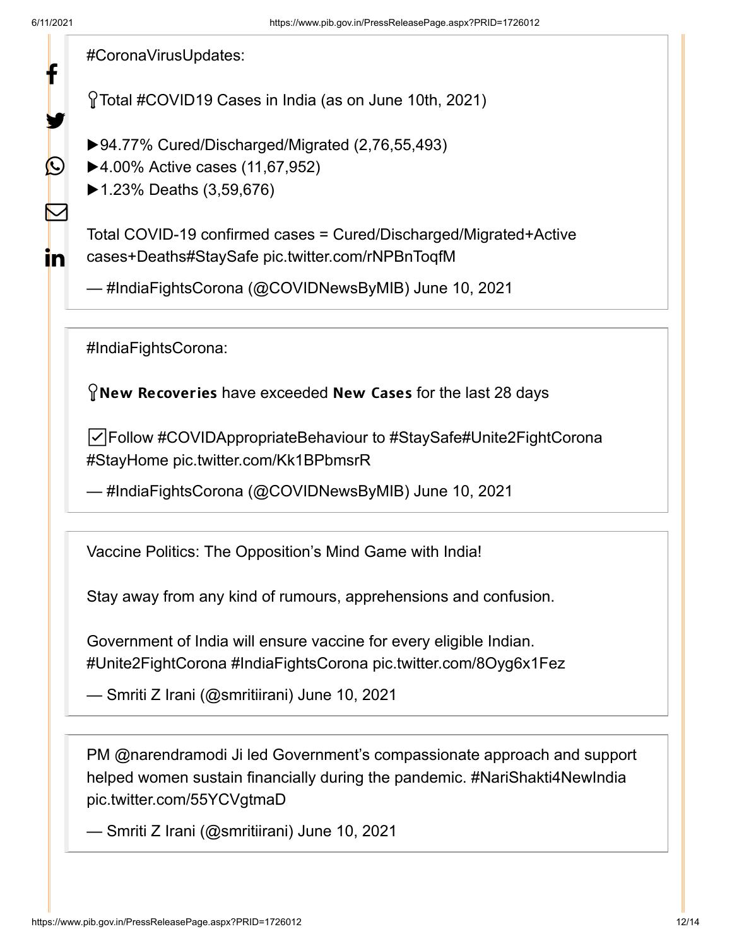У.

 $\Omega$ 

 $\blacktriangleright$ 

in.

[#CoronaVirusUpdates](https://twitter.com/hashtag/CoronaVirusUpdates?src=hash&ref_src=twsrc%5Etfw):

Total [#COVID19](https://twitter.com/hashtag/COVID19?src=hash&ref_src=twsrc%5Etfw) Cases in India (as on June 10th, 2021)

- ▶94.77% Cured/Discharged/Migrated (2,76,55,493)
- ▶4.00% Active cases (11,67,952)
- ▶1.23% Deaths (3,59,676)

Total COVID-19 confirmed cases = Cured/Discharged/Migrated+Active cases+Death[s#StaySafe](https://twitter.com/hashtag/StaySafe?src=hash&ref_src=twsrc%5Etfw) [pic.twitter.com/rNPBnToqfM](https://t.co/rNPBnToqfM)

— #IndiaFightsCorona (@COVIDNewsByMIB) [June 10, 2021](https://twitter.com/COVIDNewsByMIB/status/1402858490868080641?ref_src=twsrc%5Etfw)

[#IndiaFightsCorona](https://twitter.com/hashtag/IndiaFightsCorona?src=hash&ref_src=twsrc%5Etfw):

 $\Omega$  New Recoveries have exceeded New Cases for the last 28 days

☑️Follow [#COVIDAppropriateBehaviour](https://twitter.com/hashtag/COVIDAppropriateBehaviour?src=hash&ref_src=twsrc%5Etfw) to [#StaySafe](https://twitter.com/hashtag/StaySafe?src=hash&ref_src=twsrc%5Etfw)[#Unite2FightCorona](https://twitter.com/hashtag/Unite2FightCorona?src=hash&ref_src=twsrc%5Etfw) [#StayHome](https://twitter.com/hashtag/StayHome?src=hash&ref_src=twsrc%5Etfw) [pic.twitter.com/Kk1BPbmsrR](https://t.co/Kk1BPbmsrR)

— #IndiaFightsCorona (@COVIDNewsByMIB) [June 10, 2021](https://twitter.com/COVIDNewsByMIB/status/1402893281512460291?ref_src=twsrc%5Etfw)

Vaccine Politics: The Opposition's Mind Game with India!

Stay away from any kind of rumours, apprehensions and confusion.

Government of India will ensure vaccine for every eligible Indian. [#Unite2FightCorona](https://twitter.com/hashtag/Unite2FightCorona?src=hash&ref_src=twsrc%5Etfw) [#IndiaFightsCorona](https://twitter.com/hashtag/IndiaFightsCorona?src=hash&ref_src=twsrc%5Etfw) [pic.twitter.com/8Oyg6x1Fez](https://t.co/8Oyg6x1Fez)

— Smriti Z Irani (@smritiirani) [June 10, 2021](https://twitter.com/smritiirani/status/1402941521876459526?ref_src=twsrc%5Etfw)

PM [@narendramodi](https://twitter.com/narendramodi?ref_src=twsrc%5Etfw) Ji led Government's compassionate approach and support helped women sustain financially during the pandemic. [#NariShakti4NewIndia](https://twitter.com/hashtag/NariShakti4NewIndia?src=hash&ref_src=twsrc%5Etfw) [pic.twitter.com/55YCVgtmaD](https://t.co/55YCVgtmaD)

— Smriti Z Irani (@smritiirani) [June 10, 2021](https://twitter.com/smritiirani/status/1402853946109145091?ref_src=twsrc%5Etfw)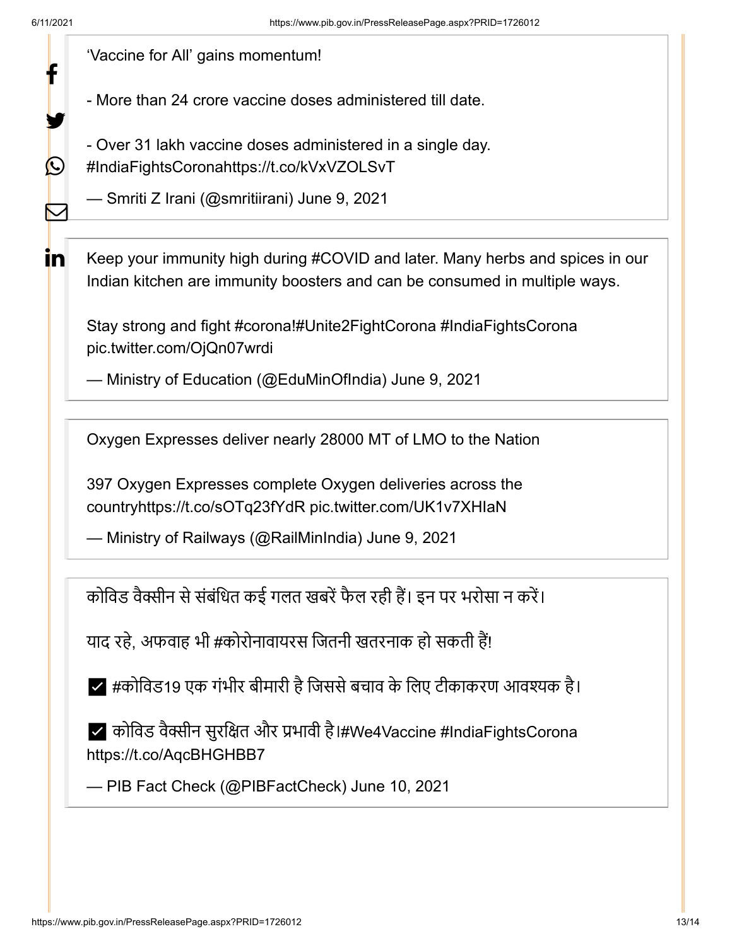